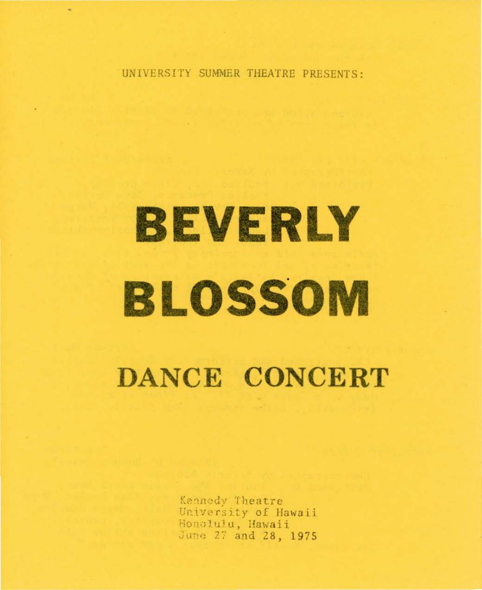UNIVERSITY SUMMER THEATRE PRESENTS:

# BEVERLY **BLOSSOM**

DANCE CONCERT

Kennedy Theatre University of Hawaii Honolulu, Hawaii June 27 and 28, 1975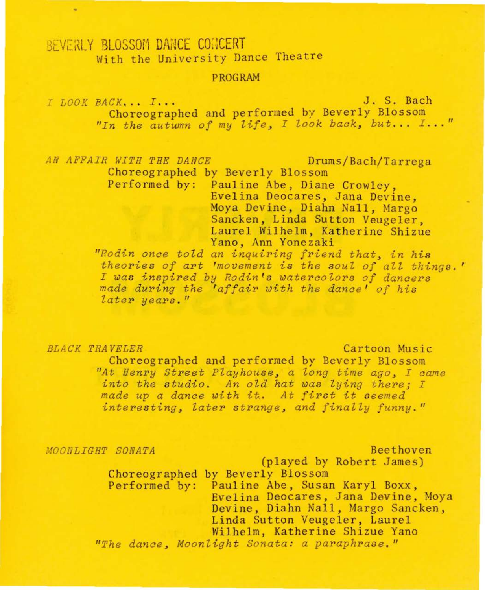# BEVERLY BLOSSOM DANCE CONCERT With the University Dance Theatre

### PROGRAM

*I LOOK* BACK , •• *<sup>I</sup> .. .* J. S. Bach Choreographed and performed by Beverly Blossom *"In the autumn of my* life <sup>~</sup>*I look* back <sup>~</sup>*but .. . I ... "* 

*AN AFFAIR WITH THE DANCE* Drums/Bach/Tarrega

Choreographed by Beverly Blossom Performed by: Pauline Abe, *Diane* Crowley, Evelina Deocares, Jana Devine, Moya Devine, Diahn Nall, Margo Sancken, Linda Sutton Veugeler, Laurel Wilhelm, Katherine Shizue<br>Yano, Ann Yonezaki

"Rodin once told an inquiring friend that, in his *theorie s of art 'movement i s the soul of all things .* ' *I was inspired by Rodin fs watercolors of dancers made during the 'affair with the dance' of his later years. "* 

*BLACK TRAVELER* Cartoon Music

Choreographed and performed by Beverly Blossom *nAt Henry Street Playhouse , a long time ago , I came into the studio. An old hat was lying there; I made up a dance with it. At first it seemed* interesting, later strange, and finally funny."

*:-tOONLIGHT SONATA* Beethoven

(played by Robert James) Choreographed by Beverly Blossom Performed by: Pauline Abe, Susan Karyl Boxx, Evelina Deocares, Jana Devine, Moya Devine, Diahn Nall, Margo Sancken, Linda Sutton Veugeler, Laurel<br>Wilhelm, Katherine Shizue Yano "The dance, Moonlight Sonata: a paraphrase."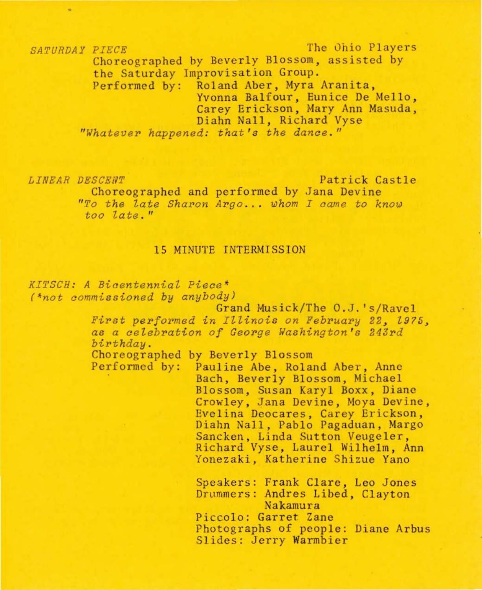*SATURDAY PIECE* The 0hio Players Choreographed by Beverly Blossom, assisted by the Saturday Improvisation Group. Performed by: Roland Aber, Myra Aranita, Yvonna Balfour, Eunice De Mello,<br>Carey Erickson, Mary Ann Masuda,<br>Diahn Nall, Richard Vyse

"Whatever happened: that's the dance."

*LINEAR DESCENT* 

Patrick Castle Choreographed and performed by Jana Devine

Choreographed and performed by Jana Devine<br>
"To the late Sharon Argo... whom I came to know *too Za te .* "

## 15 MINUTE INTERMISSION

 $KITSCH: A Bicentennial Piece*$ 

*(\*not commissioned by anybody)* 

Grand Musick/The O.J.'s/Ravel *First performed in Illinois on February 22, 1975, as a aelebration of George Washington ' s 243rd birthday*.<br>Choreographed by Beverly Blossom

Performed by: Pauline Abe, Roland Aber, Anne Bach, Beverly Blossom, Michael Blossom, Susan Karyl Boxx , Diane Crowley, Jana Devine, Moya Devine, Eve lina Deocares, Carey Erickson, Diahn Nall, Pablo Pagaduan, Margo<br>Sancken, Linda Sutton Veugeler, Richard Vyse, Laurel Wilhelm, Ann Yonezaki, Katherine Shizue Yano

> Speakers: Frank Clare, Leo Jones Drummers: Andres Libed, Clayton Nakamura Piccolo: Garret Zane Photographs of people: Diane Arbus Slides: Jerry Warmbier